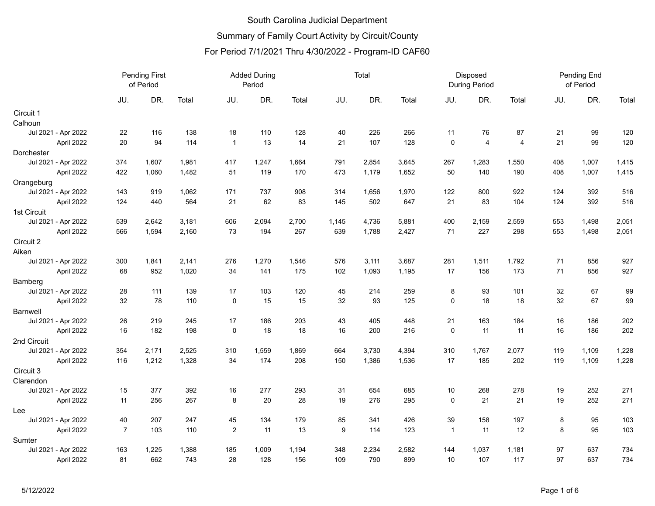#### South Carolina Judicial Department Summary of Family Court Activity by Circuit/County

#### For Period 7/1/2021 Thru 4/30/2022 - Program-ID CAF60

|                     | <b>Pending First</b><br>of Period |       |       | <b>Added During</b><br>Period |       |       | Total            |       |       |                | Disposed<br><b>During Period</b> |                | Pending End<br>of Period |       |       |
|---------------------|-----------------------------------|-------|-------|-------------------------------|-------|-------|------------------|-------|-------|----------------|----------------------------------|----------------|--------------------------|-------|-------|
|                     | JU.                               | DR.   | Total | JU.                           | DR.   | Total | JU.              | DR.   | Total | JU.            | DR.                              | Total          | JU.                      | DR.   | Total |
| Circuit 1           |                                   |       |       |                               |       |       |                  |       |       |                |                                  |                |                          |       |       |
| Calhoun             |                                   |       |       |                               |       |       |                  |       |       |                |                                  |                |                          |       |       |
| Jul 2021 - Apr 2022 | 22                                | 116   | 138   | 18                            | 110   | 128   | 40               | 226   | 266   | 11             | 76                               | 87             | 21                       | 99    | 120   |
| April 2022          | 20                                | 94    | 114   | $\mathbf{1}$                  | 13    | 14    | 21               | 107   | 128   | $\mathbf 0$    | 4                                | $\overline{4}$ | 21                       | 99    | 120   |
| Dorchester          |                                   |       |       |                               |       |       |                  |       |       |                |                                  |                |                          |       |       |
| Jul 2021 - Apr 2022 | 374                               | 1,607 | 1,981 | 417                           | 1,247 | 1,664 | 791              | 2,854 | 3,645 | 267            | 1,283                            | 1,550          | 408                      | 1,007 | 1,415 |
| April 2022          | 422                               | 1,060 | 1,482 | 51                            | 119   | 170   | 473              | 1,179 | 1,652 | 50             | 140                              | 190            | 408                      | 1,007 | 1,415 |
| Orangeburg          |                                   |       |       |                               |       |       |                  |       |       |                |                                  |                |                          |       |       |
| Jul 2021 - Apr 2022 | 143                               | 919   | 1,062 | 171                           | 737   | 908   | 314              | 1,656 | 1,970 | 122            | 800                              | 922            | 124                      | 392   | 516   |
| April 2022          | 124                               | 440   | 564   | 21                            | 62    | 83    | 145              | 502   | 647   | 21             | 83                               | 104            | 124                      | 392   | 516   |
| 1st Circuit         |                                   |       |       |                               |       |       |                  |       |       |                |                                  |                |                          |       |       |
| Jul 2021 - Apr 2022 | 539                               | 2,642 | 3,181 | 606                           | 2,094 | 2,700 | 1,145            | 4,736 | 5,881 | 400            | 2,159                            | 2,559          | 553                      | 1,498 | 2,051 |
| April 2022          | 566                               | 1,594 | 2,160 | 73                            | 194   | 267   | 639              | 1,788 | 2,427 | 71             | 227                              | 298            | 553                      | 1,498 | 2,051 |
| Circuit 2           |                                   |       |       |                               |       |       |                  |       |       |                |                                  |                |                          |       |       |
| Aiken               |                                   |       |       |                               |       |       |                  |       |       |                |                                  |                |                          |       |       |
| Jul 2021 - Apr 2022 | 300                               | 1,841 | 2,141 | 276                           | 1,270 | 1,546 | 576              | 3,111 | 3,687 | 281            | 1,511                            | 1,792          | 71                       | 856   | 927   |
| April 2022          | 68                                | 952   | 1,020 | 34                            | 141   | 175   | 102              | 1,093 | 1,195 | 17             | 156                              | 173            | 71                       | 856   | 927   |
| Bamberg             |                                   |       |       |                               |       |       |                  |       |       |                |                                  |                |                          |       |       |
| Jul 2021 - Apr 2022 | 28                                | 111   | 139   | 17                            | 103   | 120   | 45               | 214   | 259   | 8              | 93                               | 101            | 32                       | 67    | 99    |
| April 2022          | 32                                | 78    | 110   | $\mathbf 0$                   | 15    | 15    | 32               | 93    | 125   | $\mathbf 0$    | 18                               | 18             | 32                       | 67    | 99    |
| <b>Barnwell</b>     |                                   |       |       |                               |       |       |                  |       |       |                |                                  |                |                          |       |       |
| Jul 2021 - Apr 2022 | 26                                | 219   | 245   | 17                            | 186   | 203   | 43               | 405   | 448   | 21             | 163                              | 184            | 16                       | 186   | 202   |
| April 2022          | 16                                | 182   | 198   | $\mathbf 0$                   | 18    | 18    | 16               | 200   | 216   | $\mathbf 0$    | 11                               | 11             | 16                       | 186   | 202   |
| 2nd Circuit         |                                   |       |       |                               |       |       |                  |       |       |                |                                  |                |                          |       |       |
| Jul 2021 - Apr 2022 | 354                               | 2,171 | 2,525 | 310                           | 1,559 | 1,869 | 664              | 3,730 | 4,394 | 310            | 1,767                            | 2,077          | 119                      | 1,109 | 1,228 |
| April 2022          | 116                               | 1,212 | 1,328 | 34                            | 174   | 208   | 150              | 1,386 | 1,536 | 17             | 185                              | 202            | 119                      | 1,109 | 1,228 |
| Circuit 3           |                                   |       |       |                               |       |       |                  |       |       |                |                                  |                |                          |       |       |
| Clarendon           |                                   |       |       |                               |       |       |                  |       |       |                |                                  |                |                          |       |       |
| Jul 2021 - Apr 2022 | 15                                | 377   | 392   | 16                            | 277   | 293   | 31               | 654   | 685   | 10             | 268                              | 278            | 19                       | 252   | 271   |
| April 2022          | 11                                | 256   | 267   | 8                             | 20    | 28    | 19               | 276   | 295   | $\mathbf 0$    | 21                               | 21             | 19                       | 252   | 271   |
| Lee                 |                                   |       |       |                               |       |       |                  |       |       |                |                                  |                |                          |       |       |
| Jul 2021 - Apr 2022 | 40                                | 207   | 247   | 45                            | 134   | 179   | 85               | 341   | 426   | 39             | 158                              | 197            | 8                        | 95    | 103   |
| April 2022          | $\overline{7}$                    | 103   | 110   | $\sqrt{2}$                    | 11    | 13    | $\boldsymbol{9}$ | 114   | 123   | $\overline{1}$ | 11                               | 12             | 8                        | 95    | 103   |
| Sumter              |                                   |       |       |                               |       |       |                  |       |       |                |                                  |                |                          |       |       |
| Jul 2021 - Apr 2022 | 163                               | 1,225 | 1,388 | 185                           | 1,009 | 1,194 | 348              | 2,234 | 2,582 | 144            | 1,037                            | 1,181          | 97                       | 637   | 734   |
| April 2022          | 81                                | 662   | 743   | 28                            | 128   | 156   | 109              | 790   | 899   | 10             | 107                              | 117            | 97                       | 637   | 734   |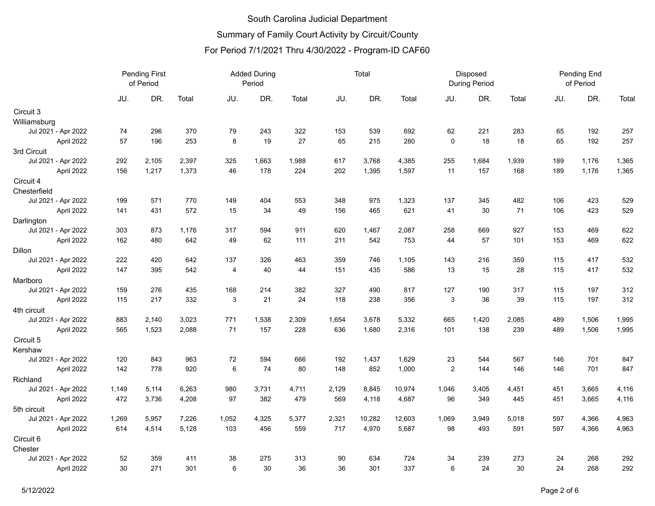|                     | <b>Pending First</b><br>of Period |       |       | <b>Added During</b><br>Period |       |       |       | Total  |        |             | Disposed<br><b>During Period</b> |       |     | Pending End<br>of Period |       |  |
|---------------------|-----------------------------------|-------|-------|-------------------------------|-------|-------|-------|--------|--------|-------------|----------------------------------|-------|-----|--------------------------|-------|--|
|                     | JU.                               | DR.   | Total | JU.                           | DR.   | Total | JU.   | DR.    | Total  | JU.         | DR.                              | Total | JU. | DR.                      | Total |  |
| Circuit 3           |                                   |       |       |                               |       |       |       |        |        |             |                                  |       |     |                          |       |  |
| Williamsburg        |                                   |       |       |                               |       |       |       |        |        |             |                                  |       |     |                          |       |  |
| Jul 2021 - Apr 2022 | 74                                | 296   | 370   | 79                            | 243   | 322   | 153   | 539    | 692    | 62          | 221                              | 283   | 65  | 192                      | 257   |  |
| April 2022          | 57                                | 196   | 253   | $\,8\,$                       | 19    | 27    | 65    | 215    | 280    | $\mathbf 0$ | 18                               | 18    | 65  | 192                      | 257   |  |
| 3rd Circuit         |                                   |       |       |                               |       |       |       |        |        |             |                                  |       |     |                          |       |  |
| Jul 2021 - Apr 2022 | 292                               | 2,105 | 2,397 | 325                           | 1,663 | 1,988 | 617   | 3,768  | 4,385  | 255         | 1,684                            | 1,939 | 189 | 1,176                    | 1,365 |  |
| April 2022          | 156                               | 1,217 | 1,373 | 46                            | 178   | 224   | 202   | 1,395  | 1,597  | 11          | 157                              | 168   | 189 | 1,176                    | 1,365 |  |
| Circuit 4           |                                   |       |       |                               |       |       |       |        |        |             |                                  |       |     |                          |       |  |
| Chesterfield        |                                   |       |       |                               |       |       |       |        |        |             |                                  |       |     |                          |       |  |
| Jul 2021 - Apr 2022 | 199                               | 571   | 770   | 149                           | 404   | 553   | 348   | 975    | 1,323  | 137         | 345                              | 482   | 106 | 423                      | 529   |  |
| April 2022          | 141                               | 431   | 572   | 15                            | 34    | 49    | 156   | 465    | 621    | 41          | 30                               | 71    | 106 | 423                      | 529   |  |
| Darlington          |                                   |       |       |                               |       |       |       |        |        |             |                                  |       |     |                          |       |  |
| Jul 2021 - Apr 2022 | 303                               | 873   | 1,176 | 317                           | 594   | 911   | 620   | 1,467  | 2,087  | 258         | 669                              | 927   | 153 | 469                      | 622   |  |
| April 2022          | 162                               | 480   | 642   | 49                            | 62    | 111   | 211   | 542    | 753    | 44          | 57                               | 101   | 153 | 469                      | 622   |  |
| Dillon              |                                   |       |       |                               |       |       |       |        |        |             |                                  |       |     |                          |       |  |
| Jul 2021 - Apr 2022 | 222                               | 420   | 642   | 137                           | 326   | 463   | 359   | 746    | 1,105  | 143         | 216                              | 359   | 115 | 417                      | 532   |  |
| April 2022          | 147                               | 395   | 542   | 4                             | 40    | 44    | 151   | 435    | 586    | 13          | 15                               | 28    | 115 | 417                      | 532   |  |
| Marlboro            |                                   |       |       |                               |       |       |       |        |        |             |                                  |       |     |                          |       |  |
| Jul 2021 - Apr 2022 | 159                               | 276   | 435   | 168                           | 214   | 382   | 327   | 490    | 817    | 127         | 190                              | 317   | 115 | 197                      | 312   |  |
| April 2022          | 115                               | 217   | 332   | 3                             | 21    | 24    | 118   | 238    | 356    | 3           | 36                               | 39    | 115 | 197                      | 312   |  |
| 4th circuit         |                                   |       |       |                               |       |       |       |        |        |             |                                  |       |     |                          |       |  |
| Jul 2021 - Apr 2022 | 883                               | 2,140 | 3,023 | 771                           | 1,538 | 2,309 | 1,654 | 3,678  | 5,332  | 665         | 1,420                            | 2,085 | 489 | 1,506                    | 1,995 |  |
| April 2022          | 565                               | 1,523 | 2,088 | 71                            | 157   | 228   | 636   | 1,680  | 2,316  | 101         | 138                              | 239   | 489 | 1,506                    | 1,995 |  |
| Circuit 5           |                                   |       |       |                               |       |       |       |        |        |             |                                  |       |     |                          |       |  |
| Kershaw             |                                   |       |       |                               |       |       |       |        |        |             |                                  |       |     |                          |       |  |
| Jul 2021 - Apr 2022 | 120                               | 843   | 963   | 72                            | 594   | 666   | 192   | 1,437  | 1,629  | 23          | 544                              | 567   | 146 | 701                      | 847   |  |
| April 2022          | 142                               | 778   | 920   | 6                             | 74    | 80    | 148   | 852    | 1,000  | 2           | 144                              | 146   | 146 | 701                      | 847   |  |
| Richland            |                                   |       |       |                               |       |       |       |        |        |             |                                  |       |     |                          |       |  |
| Jul 2021 - Apr 2022 | 1,149                             | 5,114 | 6,263 | 980                           | 3,731 | 4,711 | 2,129 | 8,845  | 10,974 | 1,046       | 3,405                            | 4,451 | 451 | 3,665                    | 4,116 |  |
| April 2022          | 472                               | 3,736 | 4,208 | 97                            | 382   | 479   | 569   | 4,118  | 4,687  | 96          | 349                              | 445   | 451 | 3,665                    | 4,116 |  |
| 5th circuit         |                                   |       |       |                               |       |       |       |        |        |             |                                  |       |     |                          |       |  |
| Jul 2021 - Apr 2022 | 1,269                             | 5,957 | 7,226 | 1,052                         | 4,325 | 5,377 | 2,321 | 10,282 | 12,603 | 1,069       | 3,949                            | 5,018 | 597 | 4,366                    | 4,963 |  |
| April 2022          | 614                               | 4,514 | 5,128 | 103                           | 456   | 559   | 717   | 4,970  | 5,687  | 98          | 493                              | 591   | 597 | 4,366                    | 4,963 |  |
| Circuit 6           |                                   |       |       |                               |       |       |       |        |        |             |                                  |       |     |                          |       |  |
| Chester             |                                   |       |       |                               |       |       |       |        |        |             |                                  |       |     |                          |       |  |
| Jul 2021 - Apr 2022 | 52                                | 359   | 411   | 38                            | 275   | 313   | 90    | 634    | 724    | 34          | 239                              | 273   | 24  | 268                      | 292   |  |
| April 2022          | 30                                | 271   | 301   | 6                             | 30    | 36    | 36    | 301    | 337    | 6           | 24                               | 30    | 24  | 268                      | 292   |  |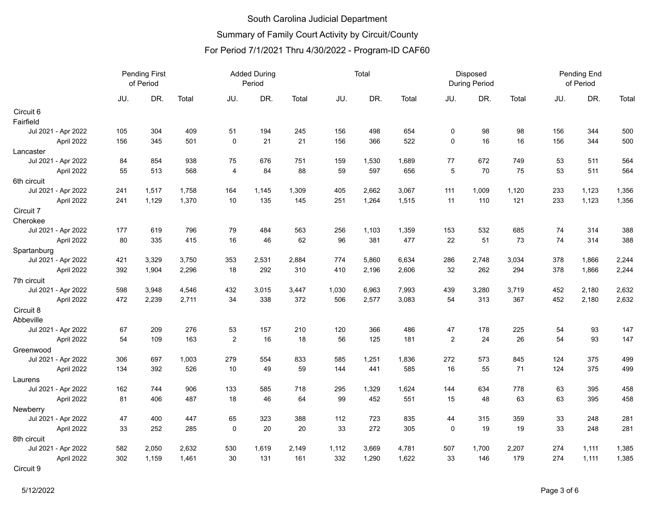|                     | <b>Pending First</b><br>of Period |       |       | <b>Added During</b><br>Period |       |       | Total |       |       | Disposed<br><b>During Period</b> |       |       | Pending End<br>of Period |       |       |
|---------------------|-----------------------------------|-------|-------|-------------------------------|-------|-------|-------|-------|-------|----------------------------------|-------|-------|--------------------------|-------|-------|
|                     | JU.                               | DR.   | Total | JU.                           | DR.   | Total | JU.   | DR.   | Total | JU.                              | DR.   | Total | JU.                      | DR.   | Total |
| Circuit 6           |                                   |       |       |                               |       |       |       |       |       |                                  |       |       |                          |       |       |
| Fairfield           |                                   |       |       |                               |       |       |       |       |       |                                  |       |       |                          |       |       |
| Jul 2021 - Apr 2022 | 105                               | 304   | 409   | 51                            | 194   | 245   | 156   | 498   | 654   | $\mathbf 0$                      | 98    | 98    | 156                      | 344   | 500   |
| April 2022          | 156                               | 345   | 501   | $\mathbf 0$                   | 21    | 21    | 156   | 366   | 522   | $\mathbf 0$                      | 16    | 16    | 156                      | 344   | 500   |
| Lancaster           |                                   |       |       |                               |       |       |       |       |       |                                  |       |       |                          |       |       |
| Jul 2021 - Apr 2022 | 84                                | 854   | 938   | 75                            | 676   | 751   | 159   | 1,530 | 1,689 | 77                               | 672   | 749   | 53                       | 511   | 564   |
| April 2022          | 55                                | 513   | 568   | $\overline{4}$                | 84    | 88    | 59    | 597   | 656   | $\,$ 5 $\,$                      | 70    | 75    | 53                       | 511   | 564   |
| 6th circuit         |                                   |       |       |                               |       |       |       |       |       |                                  |       |       |                          |       |       |
| Jul 2021 - Apr 2022 | 241                               | 1,517 | 1,758 | 164                           | 1,145 | 1,309 | 405   | 2,662 | 3,067 | 111                              | 1,009 | 1,120 | 233                      | 1,123 | 1,356 |
| April 2022          | 241                               | 1,129 | 1,370 | 10                            | 135   | 145   | 251   | 1,264 | 1,515 | 11                               | 110   | 121   | 233                      | 1,123 | 1,356 |
| Circuit 7           |                                   |       |       |                               |       |       |       |       |       |                                  |       |       |                          |       |       |
| Cherokee            |                                   |       |       |                               |       |       |       |       |       |                                  |       |       |                          |       |       |
| Jul 2021 - Apr 2022 | 177                               | 619   | 796   | 79                            | 484   | 563   | 256   | 1,103 | 1,359 | 153                              | 532   | 685   | 74                       | 314   | 388   |
| April 2022          | 80                                | 335   | 415   | 16                            | 46    | 62    | 96    | 381   | 477   | 22                               | 51    | 73    | 74                       | 314   | 388   |
| Spartanburg         |                                   |       |       |                               |       |       |       |       |       |                                  |       |       |                          |       |       |
| Jul 2021 - Apr 2022 | 421                               | 3,329 | 3,750 | 353                           | 2,531 | 2,884 | 774   | 5,860 | 6,634 | 286                              | 2,748 | 3,034 | 378                      | 1,866 | 2,244 |
| April 2022          | 392                               | 1,904 | 2,296 | 18                            | 292   | 310   | 410   | 2,196 | 2,606 | 32                               | 262   | 294   | 378                      | 1,866 | 2,244 |
| 7th circuit         |                                   |       |       |                               |       |       |       |       |       |                                  |       |       |                          |       |       |
| Jul 2021 - Apr 2022 | 598                               | 3,948 | 4,546 | 432                           | 3,015 | 3,447 | 1,030 | 6,963 | 7,993 | 439                              | 3,280 | 3,719 | 452                      | 2,180 | 2,632 |
| April 2022          | 472                               | 2,239 | 2,711 | 34                            | 338   | 372   | 506   | 2,577 | 3,083 | 54                               | 313   | 367   | 452                      | 2,180 | 2,632 |
| Circuit 8           |                                   |       |       |                               |       |       |       |       |       |                                  |       |       |                          |       |       |
| Abbeville           |                                   |       |       |                               |       |       |       |       |       |                                  |       |       |                          |       |       |
| Jul 2021 - Apr 2022 | 67                                | 209   | 276   | 53                            | 157   | 210   | 120   | 366   | 486   | 47                               | 178   | 225   | 54                       | 93    | 147   |
| April 2022          | 54                                | 109   | 163   | $\overline{c}$                | 16    | 18    | 56    | 125   | 181   | $\overline{2}$                   | 24    | 26    | 54                       | 93    | 147   |
| Greenwood           |                                   |       |       |                               |       |       |       |       |       |                                  |       |       |                          |       |       |
| Jul 2021 - Apr 2022 | 306                               | 697   | 1,003 | 279                           | 554   | 833   | 585   | 1,251 | 1,836 | 272                              | 573   | 845   | 124                      | 375   | 499   |
| April 2022          | 134                               | 392   | 526   | 10                            | 49    | 59    | 144   | 441   | 585   | 16                               | 55    | 71    | 124                      | 375   | 499   |
| Laurens             |                                   |       |       |                               |       |       |       |       |       |                                  |       |       |                          |       |       |
| Jul 2021 - Apr 2022 | 162                               | 744   | 906   | 133                           | 585   | 718   | 295   | 1,329 | 1,624 | 144                              | 634   | 778   | 63                       | 395   | 458   |
| April 2022          | 81                                | 406   | 487   | 18                            | 46    | 64    | 99    | 452   | 551   | 15                               | 48    | 63    | 63                       | 395   | 458   |
| Newberry            |                                   |       |       |                               |       |       |       |       |       |                                  |       |       |                          |       |       |
| Jul 2021 - Apr 2022 | 47                                | 400   | 447   | 65                            | 323   | 388   | 112   | 723   | 835   | 44                               | 315   | 359   | 33                       | 248   | 281   |
| April 2022          | 33                                | 252   | 285   | $\mathbf 0$                   | 20    | 20    | 33    | 272   | 305   | $\mathbf 0$                      | 19    | 19    | 33                       | 248   | 281   |
| 8th circuit         |                                   |       |       |                               |       |       |       |       |       |                                  |       |       |                          |       |       |
| Jul 2021 - Apr 2022 | 582                               | 2,050 | 2,632 | 530                           | 1,619 | 2,149 | 1,112 | 3,669 | 4,781 | 507                              | 1,700 | 2,207 | 274                      | 1,111 | 1,385 |
| April 2022          | 302                               | 1,159 | 1,461 | 30                            | 131   | 161   | 332   | 1,290 | 1,622 | 33                               | 146   | 179   | 274                      | 1,111 | 1,385 |
| Circuit 9           |                                   |       |       |                               |       |       |       |       |       |                                  |       |       |                          |       |       |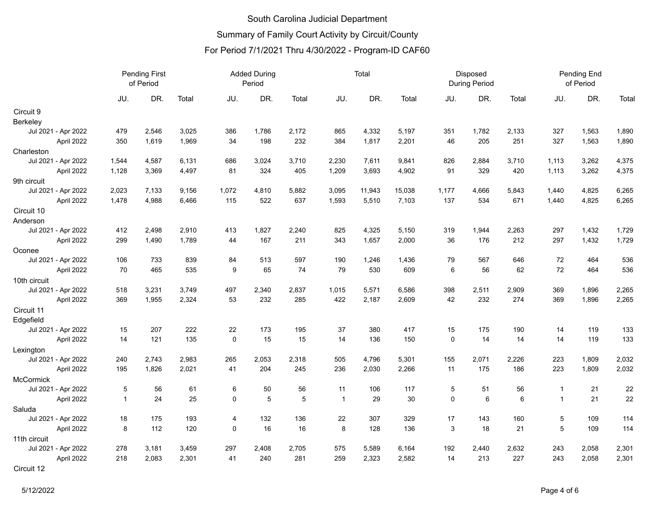|                     | <b>Pending First</b><br>of Period |       |       | <b>Added During</b><br>Period |       |       | Total          |        |        |             | Disposed<br><b>During Period</b> |       | Pending End<br>of Period |       |       |
|---------------------|-----------------------------------|-------|-------|-------------------------------|-------|-------|----------------|--------|--------|-------------|----------------------------------|-------|--------------------------|-------|-------|
|                     | JU.                               | DR.   | Total | JU.                           | DR.   | Total | JU.            | DR.    | Total  | JU.         | DR.                              | Total | JU.                      | DR.   | Total |
| Circuit 9           |                                   |       |       |                               |       |       |                |        |        |             |                                  |       |                          |       |       |
| Berkeley            |                                   |       |       |                               |       |       |                |        |        |             |                                  |       |                          |       |       |
| Jul 2021 - Apr 2022 | 479                               | 2,546 | 3,025 | 386                           | 1,786 | 2,172 | 865            | 4,332  | 5,197  | 351         | 1,782                            | 2,133 | 327                      | 1,563 | 1,890 |
| April 2022          | 350                               | 1,619 | 1,969 | 34                            | 198   | 232   | 384            | 1,817  | 2,201  | 46          | 205                              | 251   | 327                      | 1,563 | 1,890 |
| Charleston          |                                   |       |       |                               |       |       |                |        |        |             |                                  |       |                          |       |       |
| Jul 2021 - Apr 2022 | 1,544                             | 4,587 | 6,131 | 686                           | 3,024 | 3,710 | 2,230          | 7,611  | 9,841  | 826         | 2,884                            | 3,710 | 1,113                    | 3,262 | 4,375 |
| April 2022          | 1,128                             | 3,369 | 4,497 | 81                            | 324   | 405   | 1,209          | 3,693  | 4,902  | 91          | 329                              | 420   | 1,113                    | 3,262 | 4,375 |
| 9th circuit         |                                   |       |       |                               |       |       |                |        |        |             |                                  |       |                          |       |       |
| Jul 2021 - Apr 2022 | 2,023                             | 7,133 | 9,156 | 1,072                         | 4,810 | 5,882 | 3,095          | 11,943 | 15,038 | 1,177       | 4,666                            | 5,843 | 1,440                    | 4,825 | 6,265 |
| April 2022          | 1,478                             | 4,988 | 6,466 | 115                           | 522   | 637   | 1,593          | 5,510  | 7,103  | 137         | 534                              | 671   | 1,440                    | 4,825 | 6,265 |
| Circuit 10          |                                   |       |       |                               |       |       |                |        |        |             |                                  |       |                          |       |       |
| Anderson            |                                   |       |       |                               |       |       |                |        |        |             |                                  |       |                          |       |       |
| Jul 2021 - Apr 2022 | 412                               | 2,498 | 2,910 | 413                           | 1,827 | 2,240 | 825            | 4,325  | 5,150  | 319         | 1,944                            | 2,263 | 297                      | 1,432 | 1,729 |
| April 2022          | 299                               | 1,490 | 1,789 | 44                            | 167   | 211   | 343            | 1,657  | 2,000  | 36          | 176                              | 212   | 297                      | 1,432 | 1,729 |
| Oconee              |                                   |       |       |                               |       |       |                |        |        |             |                                  |       |                          |       |       |
| Jul 2021 - Apr 2022 | 106                               | 733   | 839   | 84                            | 513   | 597   | 190            | 1,246  | 1,436  | 79          | 567                              | 646   | 72                       | 464   | 536   |
| April 2022          | 70                                | 465   | 535   | 9                             | 65    | 74    | 79             | 530    | 609    | 6           | 56                               | 62    | 72                       | 464   | 536   |
| 10th circuit        |                                   |       |       |                               |       |       |                |        |        |             |                                  |       |                          |       |       |
| Jul 2021 - Apr 2022 | 518                               | 3,231 | 3,749 | 497                           | 2,340 | 2,837 | 1,015          | 5,571  | 6,586  | 398         | 2,511                            | 2,909 | 369                      | 1,896 | 2,265 |
| April 2022          | 369                               | 1,955 | 2,324 | 53                            | 232   | 285   | 422            | 2,187  | 2,609  | 42          | 232                              | 274   | 369                      | 1,896 | 2,265 |
| Circuit 11          |                                   |       |       |                               |       |       |                |        |        |             |                                  |       |                          |       |       |
| Edgefield           |                                   |       |       |                               |       |       |                |        |        |             |                                  |       |                          |       |       |
| Jul 2021 - Apr 2022 | 15                                | 207   | 222   | 22                            | 173   | 195   | 37             | 380    | 417    | 15          | 175                              | 190   | 14                       | 119   | 133   |
| April 2022          | 14                                | 121   | 135   | $\pmb{0}$                     | 15    | 15    | 14             | 136    | 150    | $\mathbf 0$ | 14                               | 14    | 14                       | 119   | 133   |
| Lexington           |                                   |       |       |                               |       |       |                |        |        |             |                                  |       |                          |       |       |
| Jul 2021 - Apr 2022 | 240                               | 2,743 | 2,983 | 265                           | 2,053 | 2,318 | 505            | 4,796  | 5,301  | 155         | 2,071                            | 2,226 | 223                      | 1,809 | 2,032 |
| April 2022          | 195                               | 1,826 | 2,021 | 41                            | 204   | 245   | 236            | 2,030  | 2,266  | 11          | 175                              | 186   | 223                      | 1,809 | 2,032 |
| <b>McCormick</b>    |                                   |       |       |                               |       |       |                |        |        |             |                                  |       |                          |       |       |
| Jul 2021 - Apr 2022 | 5                                 | 56    | 61    | 6                             | 50    | 56    | 11             | 106    | 117    | 5           | 51                               | 56    | $\mathbf 1$              | 21    | 22    |
| April 2022          | $\mathbf{1}$                      | 24    | 25    | 0                             | 5     | 5     | $\overline{1}$ | 29     | 30     | $\mathbf 0$ | 6                                | 6     | $\mathbf 1$              | 21    | 22    |
| Saluda              |                                   |       |       |                               |       |       |                |        |        |             |                                  |       |                          |       |       |
| Jul 2021 - Apr 2022 | 18                                | 175   | 193   | 4                             | 132   | 136   | 22             | 307    | 329    | 17          | 143                              | 160   | 5                        | 109   | 114   |
| April 2022          | 8                                 | 112   | 120   | 0                             | 16    | 16    | 8              | 128    | 136    | 3           | 18                               | 21    | 5                        | 109   | 114   |
| 11th circuit        |                                   |       |       |                               |       |       |                |        |        |             |                                  |       |                          |       |       |
| Jul 2021 - Apr 2022 | 278                               | 3,181 | 3,459 | 297                           | 2,408 | 2,705 | 575            | 5,589  | 6,164  | 192         | 2,440                            | 2,632 | 243                      | 2,058 | 2,301 |
| April 2022          | 218                               | 2,083 | 2,301 | 41                            | 240   | 281   | 259            | 2,323  | 2,582  | 14          | 213                              | 227   | 243                      | 2,058 | 2,301 |
| Circuit 12          |                                   |       |       |                               |       |       |                |        |        |             |                                  |       |                          |       |       |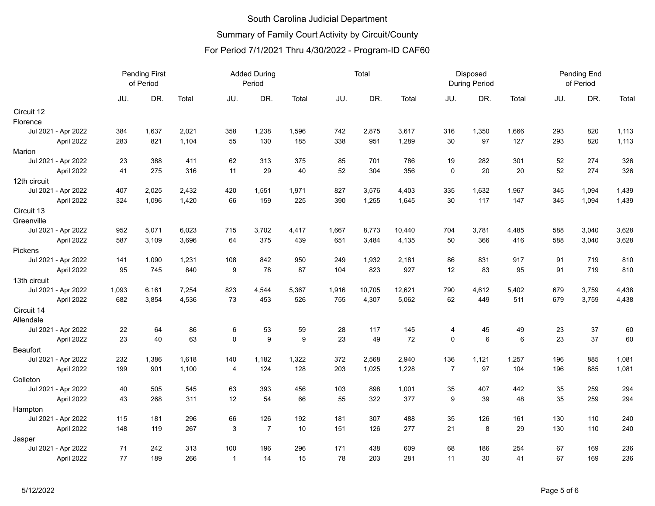| DR.<br>Total<br>DR.<br>DR.<br>Total<br>DR.<br>JU.<br>DR.<br>JU.<br>JU.<br>Total<br>JU.<br>JU.<br>Total<br>Total<br>358<br>1,238<br>742<br>1,350<br>293<br>820<br>Jul 2021 - Apr 2022<br>384<br>1,637<br>2,021<br>1,596<br>2,875<br>3,617<br>316<br>1,666<br>1,113<br>April 2022<br>821<br>1,104<br>55<br>130<br>185<br>338<br>951<br>1,289<br>30<br>97<br>127<br>293<br>820<br>1,113<br>283<br>Jul 2021 - Apr 2022<br>23<br>388<br>411<br>62<br>313<br>375<br>85<br>701<br>786<br>19<br>282<br>301<br>52<br>274<br>326<br>275<br>316<br>29<br>52<br>356<br>20<br>52<br>274<br>326<br>April 2022<br>11<br>40<br>304<br>$\mathbf 0$<br>20<br>41<br>420<br>1,551<br>1,971<br>335<br>1,632<br>Jul 2021 - Apr 2022<br>407<br>2,025<br>2,432<br>827<br>3,576<br>4,403<br>1,967<br>345<br>1,094<br>1,439<br>66<br>159<br>225<br>30<br>117<br>April 2022<br>324<br>1,096<br>1,420<br>390<br>1,255<br>1,645<br>147<br>345<br>1,094<br>1,439<br>3,702<br>704<br>3,628<br>Jul 2021 - Apr 2022<br>952<br>5,071<br>6,023<br>715<br>4,417<br>1,667<br>8,773<br>10,440<br>3,781<br>4,485<br>588<br>3,040<br>64<br>375<br>439<br>4,135<br>366<br>3,628<br>April 2022<br>587<br>3,109<br>3,696<br>651<br>3,484<br>50<br>416<br>588<br>3,040<br>842<br>810<br>Jul 2021 - Apr 2022<br>141<br>1,090<br>1,231<br>108<br>950<br>249<br>1,932<br>2,181<br>86<br>831<br>917<br>91<br>719<br>840<br>78<br>823<br>91<br>810<br>April 2022<br>95<br>745<br>9<br>87<br>104<br>927<br>12<br>83<br>95<br>719<br>Jul 2021 - Apr 2022<br>1,093<br>6,161<br>7,254<br>823<br>4,544<br>5,367<br>1,916<br>10,705<br>790<br>4,612<br>679<br>3,759<br>4,438<br>12,621<br>5,402<br>73<br>449<br>April 2022<br>3,854<br>4,536<br>453<br>526<br>755<br>4,307<br>5,062<br>62<br>511<br>679<br>3,759<br>4,438<br>682<br>23<br>Jul 2021 - Apr 2022<br>22<br>64<br>86<br>6<br>53<br>59<br>28<br>117<br>145<br>45<br>49<br>37<br>60<br>4<br>$\mathsf 0$<br>23<br>40<br>63<br>9<br>9<br>23<br>49<br>72<br>$\mathbf 0$<br>6<br>$\,6\,$<br>37<br>60<br>April 2022<br>23<br>1,182<br>136<br>Jul 2021 - Apr 2022<br>232<br>1,386<br>1,618<br>140<br>1,322<br>372<br>2,568<br>2,940<br>1,121<br>1,257<br>196<br>885<br>1,081<br>1,100<br>124<br>128<br>1,228<br>$\overline{7}$<br>97<br>104<br>196<br>1,081<br>April 2022<br>199<br>901<br>203<br>1,025<br>885<br>4<br>545<br>63<br>393<br>1,001<br>35<br>259<br>294<br>Jul 2021 - Apr 2022<br>40<br>505<br>456<br>103<br>898<br>35<br>407<br>442<br>12<br>294<br>311<br>54<br>66<br>377<br>9<br>39<br>48<br>35<br>259<br>April 2022<br>43<br>268<br>55<br>322<br>Jul 2021 - Apr 2022<br>296<br>66<br>126<br>192<br>307<br>488<br>35<br>126<br>130<br>110<br>240<br>115<br>181<br>181<br>161<br>$\overline{7}$<br>148<br>119<br>267<br>3<br>10<br>151<br>126<br>277<br>21<br>8<br>29<br>130<br>110<br>240<br>April 2022<br>Jul 2021 - Apr 2022<br>71<br>242<br>313<br>100<br>196<br>296<br>171<br>438<br>609<br>68<br>186<br>254<br>67<br>169<br>236<br>77<br>266<br>30<br>67<br>236<br>April 2022<br>189<br>15<br>78<br>203<br>281<br>41<br>169<br>$\mathbf{1}$<br>14<br>11 |              | <b>Pending First</b><br>of Period |  |  | <b>Added During</b><br>Period |  |  | Total |  |  | Disposed<br><b>During Period</b> | Pending End<br>of Period |  |  |
|--------------------------------------------------------------------------------------------------------------------------------------------------------------------------------------------------------------------------------------------------------------------------------------------------------------------------------------------------------------------------------------------------------------------------------------------------------------------------------------------------------------------------------------------------------------------------------------------------------------------------------------------------------------------------------------------------------------------------------------------------------------------------------------------------------------------------------------------------------------------------------------------------------------------------------------------------------------------------------------------------------------------------------------------------------------------------------------------------------------------------------------------------------------------------------------------------------------------------------------------------------------------------------------------------------------------------------------------------------------------------------------------------------------------------------------------------------------------------------------------------------------------------------------------------------------------------------------------------------------------------------------------------------------------------------------------------------------------------------------------------------------------------------------------------------------------------------------------------------------------------------------------------------------------------------------------------------------------------------------------------------------------------------------------------------------------------------------------------------------------------------------------------------------------------------------------------------------------------------------------------------------------------------------------------------------------------------------------------------------------------------------------------------------------------------------------------------------------------------------------------------------------------------------------------------------------------------------------------------------------------------------------------------------------------------------------------------------------------------------------------------------------------------------------------------------------------------------------------------------------------------------------------------------------------------------------------------------------------------------------------------------------------------------------------------------------------|--------------|-----------------------------------|--|--|-------------------------------|--|--|-------|--|--|----------------------------------|--------------------------|--|--|
|                                                                                                                                                                                                                                                                                                                                                                                                                                                                                                                                                                                                                                                                                                                                                                                                                                                                                                                                                                                                                                                                                                                                                                                                                                                                                                                                                                                                                                                                                                                                                                                                                                                                                                                                                                                                                                                                                                                                                                                                                                                                                                                                                                                                                                                                                                                                                                                                                                                                                                                                                                                                                                                                                                                                                                                                                                                                                                                                                                                                                                                                          |              |                                   |  |  |                               |  |  |       |  |  |                                  |                          |  |  |
|                                                                                                                                                                                                                                                                                                                                                                                                                                                                                                                                                                                                                                                                                                                                                                                                                                                                                                                                                                                                                                                                                                                                                                                                                                                                                                                                                                                                                                                                                                                                                                                                                                                                                                                                                                                                                                                                                                                                                                                                                                                                                                                                                                                                                                                                                                                                                                                                                                                                                                                                                                                                                                                                                                                                                                                                                                                                                                                                                                                                                                                                          | Circuit 12   |                                   |  |  |                               |  |  |       |  |  |                                  |                          |  |  |
|                                                                                                                                                                                                                                                                                                                                                                                                                                                                                                                                                                                                                                                                                                                                                                                                                                                                                                                                                                                                                                                                                                                                                                                                                                                                                                                                                                                                                                                                                                                                                                                                                                                                                                                                                                                                                                                                                                                                                                                                                                                                                                                                                                                                                                                                                                                                                                                                                                                                                                                                                                                                                                                                                                                                                                                                                                                                                                                                                                                                                                                                          | Florence     |                                   |  |  |                               |  |  |       |  |  |                                  |                          |  |  |
|                                                                                                                                                                                                                                                                                                                                                                                                                                                                                                                                                                                                                                                                                                                                                                                                                                                                                                                                                                                                                                                                                                                                                                                                                                                                                                                                                                                                                                                                                                                                                                                                                                                                                                                                                                                                                                                                                                                                                                                                                                                                                                                                                                                                                                                                                                                                                                                                                                                                                                                                                                                                                                                                                                                                                                                                                                                                                                                                                                                                                                                                          |              |                                   |  |  |                               |  |  |       |  |  |                                  |                          |  |  |
|                                                                                                                                                                                                                                                                                                                                                                                                                                                                                                                                                                                                                                                                                                                                                                                                                                                                                                                                                                                                                                                                                                                                                                                                                                                                                                                                                                                                                                                                                                                                                                                                                                                                                                                                                                                                                                                                                                                                                                                                                                                                                                                                                                                                                                                                                                                                                                                                                                                                                                                                                                                                                                                                                                                                                                                                                                                                                                                                                                                                                                                                          |              |                                   |  |  |                               |  |  |       |  |  |                                  |                          |  |  |
|                                                                                                                                                                                                                                                                                                                                                                                                                                                                                                                                                                                                                                                                                                                                                                                                                                                                                                                                                                                                                                                                                                                                                                                                                                                                                                                                                                                                                                                                                                                                                                                                                                                                                                                                                                                                                                                                                                                                                                                                                                                                                                                                                                                                                                                                                                                                                                                                                                                                                                                                                                                                                                                                                                                                                                                                                                                                                                                                                                                                                                                                          | Marion       |                                   |  |  |                               |  |  |       |  |  |                                  |                          |  |  |
|                                                                                                                                                                                                                                                                                                                                                                                                                                                                                                                                                                                                                                                                                                                                                                                                                                                                                                                                                                                                                                                                                                                                                                                                                                                                                                                                                                                                                                                                                                                                                                                                                                                                                                                                                                                                                                                                                                                                                                                                                                                                                                                                                                                                                                                                                                                                                                                                                                                                                                                                                                                                                                                                                                                                                                                                                                                                                                                                                                                                                                                                          |              |                                   |  |  |                               |  |  |       |  |  |                                  |                          |  |  |
|                                                                                                                                                                                                                                                                                                                                                                                                                                                                                                                                                                                                                                                                                                                                                                                                                                                                                                                                                                                                                                                                                                                                                                                                                                                                                                                                                                                                                                                                                                                                                                                                                                                                                                                                                                                                                                                                                                                                                                                                                                                                                                                                                                                                                                                                                                                                                                                                                                                                                                                                                                                                                                                                                                                                                                                                                                                                                                                                                                                                                                                                          |              |                                   |  |  |                               |  |  |       |  |  |                                  |                          |  |  |
|                                                                                                                                                                                                                                                                                                                                                                                                                                                                                                                                                                                                                                                                                                                                                                                                                                                                                                                                                                                                                                                                                                                                                                                                                                                                                                                                                                                                                                                                                                                                                                                                                                                                                                                                                                                                                                                                                                                                                                                                                                                                                                                                                                                                                                                                                                                                                                                                                                                                                                                                                                                                                                                                                                                                                                                                                                                                                                                                                                                                                                                                          | 12th circuit |                                   |  |  |                               |  |  |       |  |  |                                  |                          |  |  |
|                                                                                                                                                                                                                                                                                                                                                                                                                                                                                                                                                                                                                                                                                                                                                                                                                                                                                                                                                                                                                                                                                                                                                                                                                                                                                                                                                                                                                                                                                                                                                                                                                                                                                                                                                                                                                                                                                                                                                                                                                                                                                                                                                                                                                                                                                                                                                                                                                                                                                                                                                                                                                                                                                                                                                                                                                                                                                                                                                                                                                                                                          |              |                                   |  |  |                               |  |  |       |  |  |                                  |                          |  |  |
|                                                                                                                                                                                                                                                                                                                                                                                                                                                                                                                                                                                                                                                                                                                                                                                                                                                                                                                                                                                                                                                                                                                                                                                                                                                                                                                                                                                                                                                                                                                                                                                                                                                                                                                                                                                                                                                                                                                                                                                                                                                                                                                                                                                                                                                                                                                                                                                                                                                                                                                                                                                                                                                                                                                                                                                                                                                                                                                                                                                                                                                                          |              |                                   |  |  |                               |  |  |       |  |  |                                  |                          |  |  |
|                                                                                                                                                                                                                                                                                                                                                                                                                                                                                                                                                                                                                                                                                                                                                                                                                                                                                                                                                                                                                                                                                                                                                                                                                                                                                                                                                                                                                                                                                                                                                                                                                                                                                                                                                                                                                                                                                                                                                                                                                                                                                                                                                                                                                                                                                                                                                                                                                                                                                                                                                                                                                                                                                                                                                                                                                                                                                                                                                                                                                                                                          | Circuit 13   |                                   |  |  |                               |  |  |       |  |  |                                  |                          |  |  |
|                                                                                                                                                                                                                                                                                                                                                                                                                                                                                                                                                                                                                                                                                                                                                                                                                                                                                                                                                                                                                                                                                                                                                                                                                                                                                                                                                                                                                                                                                                                                                                                                                                                                                                                                                                                                                                                                                                                                                                                                                                                                                                                                                                                                                                                                                                                                                                                                                                                                                                                                                                                                                                                                                                                                                                                                                                                                                                                                                                                                                                                                          | Greenville   |                                   |  |  |                               |  |  |       |  |  |                                  |                          |  |  |
|                                                                                                                                                                                                                                                                                                                                                                                                                                                                                                                                                                                                                                                                                                                                                                                                                                                                                                                                                                                                                                                                                                                                                                                                                                                                                                                                                                                                                                                                                                                                                                                                                                                                                                                                                                                                                                                                                                                                                                                                                                                                                                                                                                                                                                                                                                                                                                                                                                                                                                                                                                                                                                                                                                                                                                                                                                                                                                                                                                                                                                                                          |              |                                   |  |  |                               |  |  |       |  |  |                                  |                          |  |  |
|                                                                                                                                                                                                                                                                                                                                                                                                                                                                                                                                                                                                                                                                                                                                                                                                                                                                                                                                                                                                                                                                                                                                                                                                                                                                                                                                                                                                                                                                                                                                                                                                                                                                                                                                                                                                                                                                                                                                                                                                                                                                                                                                                                                                                                                                                                                                                                                                                                                                                                                                                                                                                                                                                                                                                                                                                                                                                                                                                                                                                                                                          |              |                                   |  |  |                               |  |  |       |  |  |                                  |                          |  |  |
|                                                                                                                                                                                                                                                                                                                                                                                                                                                                                                                                                                                                                                                                                                                                                                                                                                                                                                                                                                                                                                                                                                                                                                                                                                                                                                                                                                                                                                                                                                                                                                                                                                                                                                                                                                                                                                                                                                                                                                                                                                                                                                                                                                                                                                                                                                                                                                                                                                                                                                                                                                                                                                                                                                                                                                                                                                                                                                                                                                                                                                                                          | Pickens      |                                   |  |  |                               |  |  |       |  |  |                                  |                          |  |  |
|                                                                                                                                                                                                                                                                                                                                                                                                                                                                                                                                                                                                                                                                                                                                                                                                                                                                                                                                                                                                                                                                                                                                                                                                                                                                                                                                                                                                                                                                                                                                                                                                                                                                                                                                                                                                                                                                                                                                                                                                                                                                                                                                                                                                                                                                                                                                                                                                                                                                                                                                                                                                                                                                                                                                                                                                                                                                                                                                                                                                                                                                          |              |                                   |  |  |                               |  |  |       |  |  |                                  |                          |  |  |
|                                                                                                                                                                                                                                                                                                                                                                                                                                                                                                                                                                                                                                                                                                                                                                                                                                                                                                                                                                                                                                                                                                                                                                                                                                                                                                                                                                                                                                                                                                                                                                                                                                                                                                                                                                                                                                                                                                                                                                                                                                                                                                                                                                                                                                                                                                                                                                                                                                                                                                                                                                                                                                                                                                                                                                                                                                                                                                                                                                                                                                                                          |              |                                   |  |  |                               |  |  |       |  |  |                                  |                          |  |  |
|                                                                                                                                                                                                                                                                                                                                                                                                                                                                                                                                                                                                                                                                                                                                                                                                                                                                                                                                                                                                                                                                                                                                                                                                                                                                                                                                                                                                                                                                                                                                                                                                                                                                                                                                                                                                                                                                                                                                                                                                                                                                                                                                                                                                                                                                                                                                                                                                                                                                                                                                                                                                                                                                                                                                                                                                                                                                                                                                                                                                                                                                          | 13th circuit |                                   |  |  |                               |  |  |       |  |  |                                  |                          |  |  |
|                                                                                                                                                                                                                                                                                                                                                                                                                                                                                                                                                                                                                                                                                                                                                                                                                                                                                                                                                                                                                                                                                                                                                                                                                                                                                                                                                                                                                                                                                                                                                                                                                                                                                                                                                                                                                                                                                                                                                                                                                                                                                                                                                                                                                                                                                                                                                                                                                                                                                                                                                                                                                                                                                                                                                                                                                                                                                                                                                                                                                                                                          |              |                                   |  |  |                               |  |  |       |  |  |                                  |                          |  |  |
|                                                                                                                                                                                                                                                                                                                                                                                                                                                                                                                                                                                                                                                                                                                                                                                                                                                                                                                                                                                                                                                                                                                                                                                                                                                                                                                                                                                                                                                                                                                                                                                                                                                                                                                                                                                                                                                                                                                                                                                                                                                                                                                                                                                                                                                                                                                                                                                                                                                                                                                                                                                                                                                                                                                                                                                                                                                                                                                                                                                                                                                                          |              |                                   |  |  |                               |  |  |       |  |  |                                  |                          |  |  |
|                                                                                                                                                                                                                                                                                                                                                                                                                                                                                                                                                                                                                                                                                                                                                                                                                                                                                                                                                                                                                                                                                                                                                                                                                                                                                                                                                                                                                                                                                                                                                                                                                                                                                                                                                                                                                                                                                                                                                                                                                                                                                                                                                                                                                                                                                                                                                                                                                                                                                                                                                                                                                                                                                                                                                                                                                                                                                                                                                                                                                                                                          | Circuit 14   |                                   |  |  |                               |  |  |       |  |  |                                  |                          |  |  |
|                                                                                                                                                                                                                                                                                                                                                                                                                                                                                                                                                                                                                                                                                                                                                                                                                                                                                                                                                                                                                                                                                                                                                                                                                                                                                                                                                                                                                                                                                                                                                                                                                                                                                                                                                                                                                                                                                                                                                                                                                                                                                                                                                                                                                                                                                                                                                                                                                                                                                                                                                                                                                                                                                                                                                                                                                                                                                                                                                                                                                                                                          | Allendale    |                                   |  |  |                               |  |  |       |  |  |                                  |                          |  |  |
|                                                                                                                                                                                                                                                                                                                                                                                                                                                                                                                                                                                                                                                                                                                                                                                                                                                                                                                                                                                                                                                                                                                                                                                                                                                                                                                                                                                                                                                                                                                                                                                                                                                                                                                                                                                                                                                                                                                                                                                                                                                                                                                                                                                                                                                                                                                                                                                                                                                                                                                                                                                                                                                                                                                                                                                                                                                                                                                                                                                                                                                                          |              |                                   |  |  |                               |  |  |       |  |  |                                  |                          |  |  |
|                                                                                                                                                                                                                                                                                                                                                                                                                                                                                                                                                                                                                                                                                                                                                                                                                                                                                                                                                                                                                                                                                                                                                                                                                                                                                                                                                                                                                                                                                                                                                                                                                                                                                                                                                                                                                                                                                                                                                                                                                                                                                                                                                                                                                                                                                                                                                                                                                                                                                                                                                                                                                                                                                                                                                                                                                                                                                                                                                                                                                                                                          |              |                                   |  |  |                               |  |  |       |  |  |                                  |                          |  |  |
|                                                                                                                                                                                                                                                                                                                                                                                                                                                                                                                                                                                                                                                                                                                                                                                                                                                                                                                                                                                                                                                                                                                                                                                                                                                                                                                                                                                                                                                                                                                                                                                                                                                                                                                                                                                                                                                                                                                                                                                                                                                                                                                                                                                                                                                                                                                                                                                                                                                                                                                                                                                                                                                                                                                                                                                                                                                                                                                                                                                                                                                                          | Beaufort     |                                   |  |  |                               |  |  |       |  |  |                                  |                          |  |  |
|                                                                                                                                                                                                                                                                                                                                                                                                                                                                                                                                                                                                                                                                                                                                                                                                                                                                                                                                                                                                                                                                                                                                                                                                                                                                                                                                                                                                                                                                                                                                                                                                                                                                                                                                                                                                                                                                                                                                                                                                                                                                                                                                                                                                                                                                                                                                                                                                                                                                                                                                                                                                                                                                                                                                                                                                                                                                                                                                                                                                                                                                          |              |                                   |  |  |                               |  |  |       |  |  |                                  |                          |  |  |
|                                                                                                                                                                                                                                                                                                                                                                                                                                                                                                                                                                                                                                                                                                                                                                                                                                                                                                                                                                                                                                                                                                                                                                                                                                                                                                                                                                                                                                                                                                                                                                                                                                                                                                                                                                                                                                                                                                                                                                                                                                                                                                                                                                                                                                                                                                                                                                                                                                                                                                                                                                                                                                                                                                                                                                                                                                                                                                                                                                                                                                                                          |              |                                   |  |  |                               |  |  |       |  |  |                                  |                          |  |  |
|                                                                                                                                                                                                                                                                                                                                                                                                                                                                                                                                                                                                                                                                                                                                                                                                                                                                                                                                                                                                                                                                                                                                                                                                                                                                                                                                                                                                                                                                                                                                                                                                                                                                                                                                                                                                                                                                                                                                                                                                                                                                                                                                                                                                                                                                                                                                                                                                                                                                                                                                                                                                                                                                                                                                                                                                                                                                                                                                                                                                                                                                          | Colleton     |                                   |  |  |                               |  |  |       |  |  |                                  |                          |  |  |
|                                                                                                                                                                                                                                                                                                                                                                                                                                                                                                                                                                                                                                                                                                                                                                                                                                                                                                                                                                                                                                                                                                                                                                                                                                                                                                                                                                                                                                                                                                                                                                                                                                                                                                                                                                                                                                                                                                                                                                                                                                                                                                                                                                                                                                                                                                                                                                                                                                                                                                                                                                                                                                                                                                                                                                                                                                                                                                                                                                                                                                                                          |              |                                   |  |  |                               |  |  |       |  |  |                                  |                          |  |  |
|                                                                                                                                                                                                                                                                                                                                                                                                                                                                                                                                                                                                                                                                                                                                                                                                                                                                                                                                                                                                                                                                                                                                                                                                                                                                                                                                                                                                                                                                                                                                                                                                                                                                                                                                                                                                                                                                                                                                                                                                                                                                                                                                                                                                                                                                                                                                                                                                                                                                                                                                                                                                                                                                                                                                                                                                                                                                                                                                                                                                                                                                          |              |                                   |  |  |                               |  |  |       |  |  |                                  |                          |  |  |
|                                                                                                                                                                                                                                                                                                                                                                                                                                                                                                                                                                                                                                                                                                                                                                                                                                                                                                                                                                                                                                                                                                                                                                                                                                                                                                                                                                                                                                                                                                                                                                                                                                                                                                                                                                                                                                                                                                                                                                                                                                                                                                                                                                                                                                                                                                                                                                                                                                                                                                                                                                                                                                                                                                                                                                                                                                                                                                                                                                                                                                                                          | Hampton      |                                   |  |  |                               |  |  |       |  |  |                                  |                          |  |  |
|                                                                                                                                                                                                                                                                                                                                                                                                                                                                                                                                                                                                                                                                                                                                                                                                                                                                                                                                                                                                                                                                                                                                                                                                                                                                                                                                                                                                                                                                                                                                                                                                                                                                                                                                                                                                                                                                                                                                                                                                                                                                                                                                                                                                                                                                                                                                                                                                                                                                                                                                                                                                                                                                                                                                                                                                                                                                                                                                                                                                                                                                          |              |                                   |  |  |                               |  |  |       |  |  |                                  |                          |  |  |
|                                                                                                                                                                                                                                                                                                                                                                                                                                                                                                                                                                                                                                                                                                                                                                                                                                                                                                                                                                                                                                                                                                                                                                                                                                                                                                                                                                                                                                                                                                                                                                                                                                                                                                                                                                                                                                                                                                                                                                                                                                                                                                                                                                                                                                                                                                                                                                                                                                                                                                                                                                                                                                                                                                                                                                                                                                                                                                                                                                                                                                                                          |              |                                   |  |  |                               |  |  |       |  |  |                                  |                          |  |  |
|                                                                                                                                                                                                                                                                                                                                                                                                                                                                                                                                                                                                                                                                                                                                                                                                                                                                                                                                                                                                                                                                                                                                                                                                                                                                                                                                                                                                                                                                                                                                                                                                                                                                                                                                                                                                                                                                                                                                                                                                                                                                                                                                                                                                                                                                                                                                                                                                                                                                                                                                                                                                                                                                                                                                                                                                                                                                                                                                                                                                                                                                          | Jasper       |                                   |  |  |                               |  |  |       |  |  |                                  |                          |  |  |
|                                                                                                                                                                                                                                                                                                                                                                                                                                                                                                                                                                                                                                                                                                                                                                                                                                                                                                                                                                                                                                                                                                                                                                                                                                                                                                                                                                                                                                                                                                                                                                                                                                                                                                                                                                                                                                                                                                                                                                                                                                                                                                                                                                                                                                                                                                                                                                                                                                                                                                                                                                                                                                                                                                                                                                                                                                                                                                                                                                                                                                                                          |              |                                   |  |  |                               |  |  |       |  |  |                                  |                          |  |  |
|                                                                                                                                                                                                                                                                                                                                                                                                                                                                                                                                                                                                                                                                                                                                                                                                                                                                                                                                                                                                                                                                                                                                                                                                                                                                                                                                                                                                                                                                                                                                                                                                                                                                                                                                                                                                                                                                                                                                                                                                                                                                                                                                                                                                                                                                                                                                                                                                                                                                                                                                                                                                                                                                                                                                                                                                                                                                                                                                                                                                                                                                          |              |                                   |  |  |                               |  |  |       |  |  |                                  |                          |  |  |